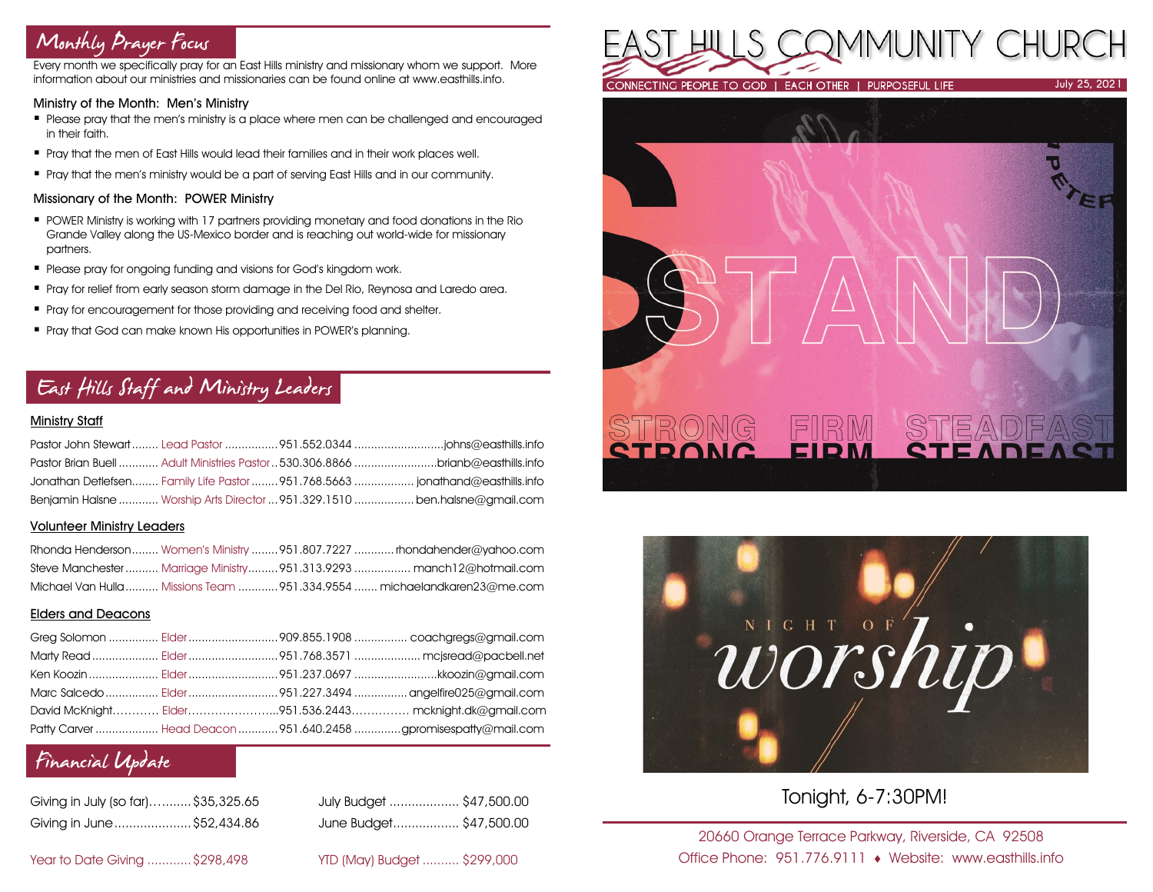# Monthly Prayer Focus

Every month we specifically pray for an East Hills ministry and missionary whom we support. More information about our ministries and missionaries can be found online at www.easthills.info.

### Ministry of the Month: Men's Ministry

- Please pray that the men's ministry is a place where men can be challenged and encouraged in their faith.
- Pray that the men of East Hills would lead their families and in their work places well.
- Pray that the men's ministry would be a part of serving East Hills and in our community.

### Missionary of the Month: POWER Ministry

- POWER Ministry is working with 17 partners providing monetary and food donations in the Rio Grande Valley along the US-Mexico border and is reaching out world-wide for missionary partners.
- **Please pray for ongoing funding and visions for God's kingdom work.**
- Pray for relief from early season storm damage in the Del Rio, Reynosa and Laredo area.
- **•** Pray for encouragement for those providing and receiving food and shelter.
- Pray that God can make known His opportunities in POWER's planning.

# East Hills Staff and Ministry Leaders

### Ministry Staff

|  | Pastor Brian Buell  Adult Ministries Pastor  530,306,8866 brianb@easthills.info |
|--|---------------------------------------------------------------------------------|
|  | Jonathan Detlefsen Family Life Pastor  951.768.5663  jonathand@easthills.info   |
|  | Benjamin Halsne  Worship Arts Director  951.329.1510  ben.halsne@amail.com      |

### Volunteer Ministry Leaders

|  | Rhonda Henderson Women's Ministry  951.807.7227  rhondahender@yahoo.com  |
|--|--------------------------------------------------------------------------|
|  | Steve Manchester Marriage Ministry951.313.9293  manch12@hotmail.com      |
|  | Michael Van Hulla  Missions Team  951.334.9554  michaelandkaren23@me.com |

### Elders and Deacons

|  | Ken Koozin  Elder 951.237.0697 kkoozin@gmail.com                |
|--|-----------------------------------------------------------------|
|  |                                                                 |
|  | David McKnight Elder951.536.2443 mcknight.dk@gmail.com          |
|  | Patty Carver  Head Deacon  951.640.2458 gpromisespatty@mail.com |

## Financial Update

| Giving in July (so far) \$35,325.65 |  |
|-------------------------------------|--|
| Giving in June \$52,434.86          |  |

July Budget ................... \$47,500.00 Giving in June.....................\$52,434.86 June Budget.................. \$47,500.00

Year to Date Giving ............\$298,498 YTD (May) Budget .......... \$299,000







Tonight, 6-7:30PM!

20660 Orange Terrace Parkway, Riverside, CA 92508 Office Phone: 951.776.9111 Website: www.easthills.info